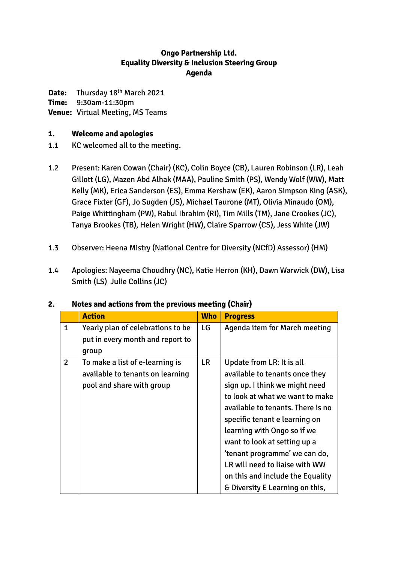### **Ongo Partnership Ltd. Equality Diversity & Inclusion Steering Group Agenda**

**Date:** Thursday 18th March 2021

**Time:** 9:30am-11:30pm

**Venue:** Virtual Meeting, MS Teams

### **1. Welcome and apologies**

- 1.1 KC welcomed all to the meeting.
- 1.2 Present: Karen Cowan (Chair) (KC), Colin Boyce (CB), Lauren Robinson (LR), Leah Gillott (LG), Mazen Abd Alhak (MAA), Pauline Smith (PS), Wendy Wolf (WW), Matt Kelly (MK), Erica Sanderson (ES), Emma Kershaw (EK), Aaron Simpson King (ASK), Grace Fixter (GF), Jo Sugden (JS), Michael Taurone (MT), Olivia Minaudo (OM), Paige Whittingham (PW), Rabul Ibrahim (RI), Tim Mills (TM), Jane Crookes (JC), Tanya Brookes (TB), Helen Wright (HW), Claire Sparrow (CS), Jess White (JW)
- 1.3 Observer: Heena Mistry (National Centre for Diversity (NCfD) Assessor) (HM)
- 1.4 Apologies: Nayeema Choudhry (NC), Katie Herron (KH), Dawn Warwick (DW), Lisa Smith (LS) Julie Collins (JC)

|                | <b>Action</b>                                                                                    | <b>Who</b> | <b>Progress</b>                                                                                                                                                                                                                                                                                                                                                                                                 |
|----------------|--------------------------------------------------------------------------------------------------|------------|-----------------------------------------------------------------------------------------------------------------------------------------------------------------------------------------------------------------------------------------------------------------------------------------------------------------------------------------------------------------------------------------------------------------|
| 1              | Yearly plan of celebrations to be<br>put in every month and report to<br>group                   | LG         | Agenda item for March meeting                                                                                                                                                                                                                                                                                                                                                                                   |
| $\overline{2}$ | To make a list of e-learning is<br>available to tenants on learning<br>pool and share with group | <b>LR</b>  | Update from LR: It is all<br>available to tenants once they<br>sign up. I think we might need<br>to look at what we want to make<br>available to tenants. There is no<br>specific tenant e learning on<br>learning with Ongo so if we<br>want to look at setting up a<br>'tenant programme' we can do,<br>LR will need to liaise with WW<br>on this and include the Equality<br>& Diversity E Learning on this, |

#### **2. Notes and actions from the previous meeting (Chair)**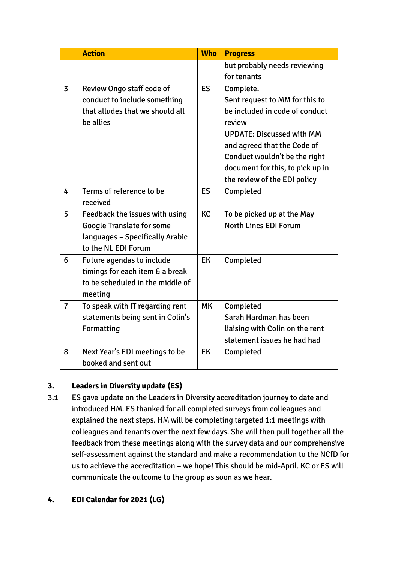|                | <b>Action</b>                    | <b>Who</b> | <b>Progress</b>                  |
|----------------|----------------------------------|------------|----------------------------------|
|                |                                  |            | but probably needs reviewing     |
|                |                                  |            | for tenants                      |
| $\overline{3}$ | <b>Review Ongo staff code of</b> | <b>ES</b>  | Complete.                        |
|                | conduct to include something     |            | Sent request to MM for this to   |
|                | that alludes that we should all  |            | be included in code of conduct   |
|                | be allies                        |            | review                           |
|                |                                  |            | <b>UPDATE: Discussed with MM</b> |
|                |                                  |            | and agreed that the Code of      |
|                |                                  |            | Conduct wouldn't be the right    |
|                |                                  |            | document for this, to pick up in |
|                |                                  |            | the review of the EDI policy     |
| 4              | Terms of reference to be         | <b>ES</b>  | Completed                        |
|                | received                         |            |                                  |
| 5              | Feedback the issues with using   | <b>KC</b>  | To be picked up at the May       |
|                | <b>Google Translate for some</b> |            | <b>North Lincs EDI Forum</b>     |
|                | languages - Specifically Arabic  |            |                                  |
|                | to the NL EDI Forum              |            |                                  |
| 6              | <b>Future agendas to include</b> | <b>EK</b>  | Completed                        |
|                | timings for each item & a break  |            |                                  |
|                | to be scheduled in the middle of |            |                                  |
|                | meeting                          |            |                                  |
| $\overline{7}$ | To speak with IT regarding rent  | <b>MK</b>  | Completed                        |
|                | statements being sent in Colin's |            | Sarah Hardman has been           |
|                | Formatting                       |            | liaising with Colin on the rent  |
|                |                                  |            | statement issues he had had      |
| 8              | Next Year's EDI meetings to be   | <b>EK</b>  | Completed                        |
|                | booked and sent out              |            |                                  |

# **3. Leaders in Diversity update (ES)**

- 3.1 ES gave update on the Leaders in Diversity accreditation journey to date and introduced HM. ES thanked for all completed surveys from colleagues and explained the next steps. HM will be completing targeted 1:1 meetings with colleagues and tenants over the next few days. She will then pull together all the feedback from these meetings along with the survey data and our comprehensive self-assessment against the standard and make a recommendation to the NCfD for us to achieve the accreditation – we hope! This should be mid-April. KC or ES will communicate the outcome to the group as soon as we hear.
- **4. EDI Calendar for 2021 (LG)**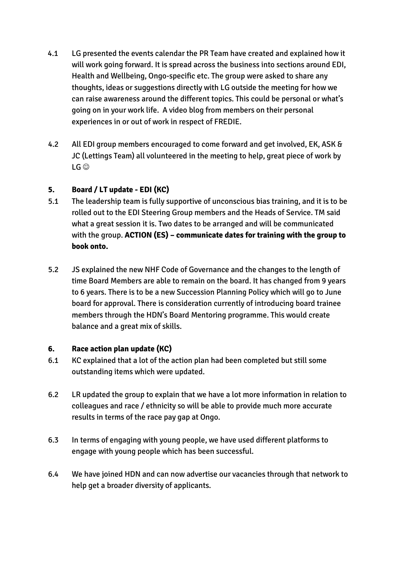- 4.1 LG presented the events calendar the PR Team have created and explained how it will work going forward. It is spread across the business into sections around EDI, Health and Wellbeing, Ongo-specific etc. The group were asked to share any thoughts, ideas or suggestions directly with LG outside the meeting for how we can raise awareness around the different topics. This could be personal or what's going on in your work life. A video blog from members on their personal experiences in or out of work in respect of FREDIE.
- 4.2 All EDI group members encouraged to come forward and get involved, EK, ASK & JC (Lettings Team) all volunteered in the meeting to help, great piece of work by  $LG$

## **5. Board / LT update - EDI (KC)**

- 5.1 The leadership team is fully supportive of unconscious bias training, and it is to be rolled out to the EDI Steering Group members and the Heads of Service. TM said what a great session it is. Two dates to be arranged and will be communicated with the group. **ACTION (ES) – communicate dates for training with the group to book onto.**
- 5.2 JS explained the new NHF Code of Governance and the changes to the length of time Board Members are able to remain on the board. It has changed from 9 years to 6 years. There is to be a new Succession Planning Policy which will go to June board for approval. There is consideration currently of introducing board trainee members through the HDN's Board Mentoring programme. This would create balance and a great mix of skills.

#### **6. Race action plan update (KC)**

- 6.1 KC explained that a lot of the action plan had been completed but still some outstanding items which were updated.
- 6.2 LR updated the group to explain that we have a lot more information in relation to colleagues and race / ethnicity so will be able to provide much more accurate results in terms of the race pay gap at Ongo.
- 6.3 In terms of engaging with young people, we have used different platforms to engage with young people which has been successful.
- 6.4 We have joined HDN and can now advertise our vacancies through that network to help get a broader diversity of applicants.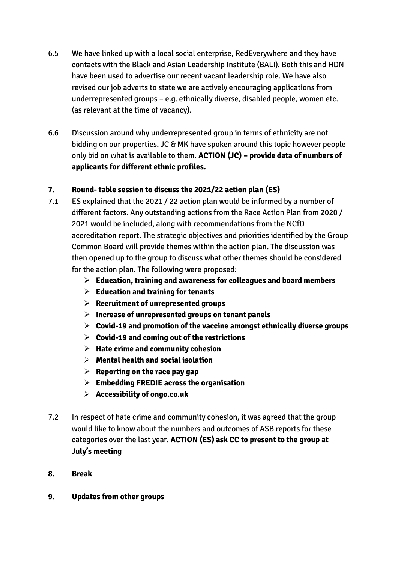- 6.5 We have linked up with a local social enterprise, RedEverywhere and they have contacts with the Black and Asian Leadership Institute (BALI). Both this and HDN have been used to advertise our recent vacant leadership role. We have also revised our job adverts to state we are actively encouraging applications from underrepresented groups – e.g. ethnically diverse, disabled people, women etc. (as relevant at the time of vacancy).
- 6.6 Discussion around why underrepresented group in terms of ethnicity are not bidding on our properties. JC & MK have spoken around this topic however people only bid on what is available to them. **ACTION (JC) – provide data of numbers of applicants for different ethnic profiles.**

## **7. Round- table session to discuss the 2021/22 action plan (ES)**

- 7.1 ES explained that the 2021 / 22 action plan would be informed by a number of different factors. Any outstanding actions from the Race Action Plan from 2020 / 2021 would be included, along with recommendations from the NCfD accreditation report. The strategic objectives and priorities identified by the Group Common Board will provide themes within the action plan. The discussion was then opened up to the group to discuss what other themes should be considered for the action plan. The following were proposed:
	- **Education, training and awareness for colleagues and board members**
	- **Education and training for tenants**
	- **Recruitment of unrepresented groups**
	- **Increase of unrepresented groups on tenant panels**
	- **Covid-19 and promotion of the vaccine amongst ethnically diverse groups**
	- **Covid-19 and coming out of the restrictions**
	- **Hate crime and community cohesion**
	- **Mental health and social isolation**
	- **Reporting on the race pay gap**
	- **Embedding FREDIE across the organisation**
	- **Accessibility of ongo.co.uk**
- 7.2 In respect of hate crime and community cohesion, it was agreed that the group would like to know about the numbers and outcomes of ASB reports for these categories over the last year. **ACTION (ES) ask CC to present to the group at July's meeting**
- **8. Break**
- **9. Updates from other groups**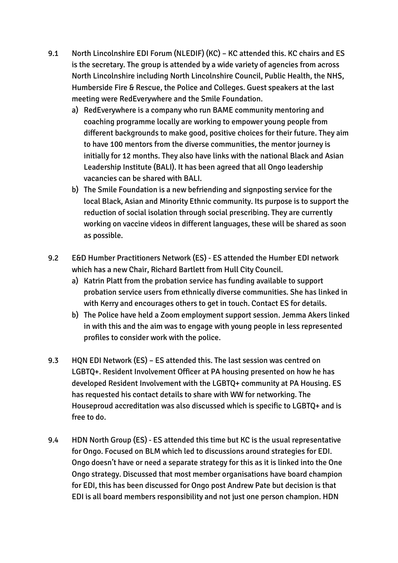- 9.1 North Lincolnshire EDI Forum (NLEDIF) (KC) KC attended this. KC chairs and ES is the secretary. The group is attended by a wide variety of agencies from across North Lincolnshire including North Lincolnshire Council, Public Health, the NHS, Humberside Fire & Rescue, the Police and Colleges. Guest speakers at the last meeting were RedEverywhere and the Smile Foundation.
	- a) RedEverywhere is a company who run BAME community mentoring and coaching programme locally are working to empower young people from different backgrounds to make good, positive choices for their future. They aim to have 100 mentors from the diverse communities, the mentor journey is initially for 12 months. They also have links with the national Black and Asian Leadership Institute (BALI). It has been agreed that all Ongo leadership vacancies can be shared with BALI.
	- b) The Smile Foundation is a new befriending and signposting service for the local Black, Asian and Minority Ethnic community. Its purpose is to support the reduction of social isolation through social prescribing. They are currently working on vaccine videos in different languages, these will be shared as soon as possible.
- 9.2 E&D Humber Practitioners Network (ES) ES attended the Humber EDI network which has a new Chair, Richard Bartlett from Hull City Council.
	- a) Katrin Platt from the probation service has funding available to support probation service users from ethnically diverse communities. She has linked in with Kerry and encourages others to get in touch. Contact ES for details.
	- b) The Police have held a Zoom employment support session. Jemma Akers linked in with this and the aim was to engage with young people in less represented profiles to consider work with the police.
- 9.3 HQN EDI Network (ES) ES attended this. The last session was centred on LGBTQ+. Resident Involvement Officer at PA housing presented on how he has developed Resident Involvement with the LGBTQ+ community at PA Housing. ES has requested his contact details to share with WW for networking. The Houseproud accreditation was also discussed which is specific to LGBTQ+ and is free to do.
- 9.4 HDN North Group (ES) ES attended this time but KC is the usual representative for Ongo. Focused on BLM which led to discussions around strategies for EDI. Ongo doesn't have or need a separate strategy for this as it is linked into the One Ongo strategy. Discussed that most member organisations have board champion for EDI, this has been discussed for Ongo post Andrew Pate but decision is that EDI is all board members responsibility and not just one person champion. HDN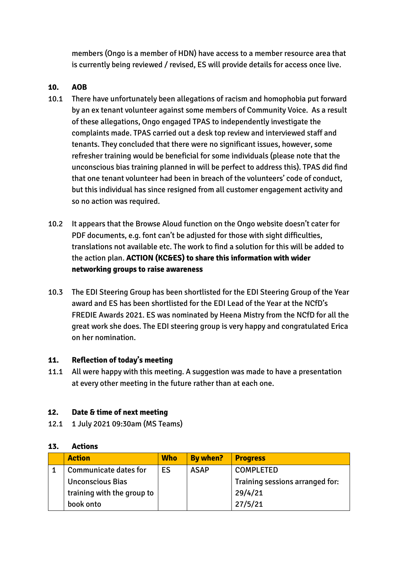members (Ongo is a member of HDN) have access to a member resource area that is currently being reviewed / revised, ES will provide details for access once live.

#### **10. AOB**

- 10.1 There have unfortunately been allegations of racism and homophobia put forward by an ex tenant volunteer against some members of Community Voice. As a result of these allegations, Ongo engaged TPAS to independently investigate the complaints made. TPAS carried out a desk top review and interviewed staff and tenants. They concluded that there were no significant issues, however, some refresher training would be beneficial for some individuals (please note that the unconscious bias training planned in will be perfect to address this). TPAS did find that one tenant volunteer had been in breach of the volunteers' code of conduct, but this individual has since resigned from all customer engagement activity and so no action was required.
- 10.2 It appears that the Browse Aloud function on the Ongo website doesn't cater for PDF documents, e.g. font can't be adjusted for those with sight difficulties, translations not available etc. The work to find a solution for this will be added to the action plan. **ACTION (KC&ES) to share this information with wider networking groups to raise awareness**
- 10.3 The EDI Steering Group has been shortlisted for the EDI Steering Group of the Year award and ES has been shortlisted for the EDI Lead of the Year at the NCfD's FREDIE Awards 2021. ES was nominated by Heena Mistry from the NCfD for all the great work she does. The EDI steering group is very happy and congratulated Erica on her nomination.

#### **11. Reflection of today's meeting**

11.1 All were happy with this meeting. A suggestion was made to have a presentation at every other meeting in the future rather than at each one.

#### **12. Date & time of next meeting**

12.1 1 July 2021 09:30am (MS Teams)

| <b>Action</b>                | <b>Who</b> | <b>By when?</b> | <b>Progress</b>                 |
|------------------------------|------------|-----------------|---------------------------------|
| <b>Communicate dates for</b> | ES         | <b>ASAP</b>     | <b>COMPLETED</b>                |
| <b>Unconscious Bias</b>      |            |                 | Training sessions arranged for: |
| training with the group to   |            |                 | 29/4/21                         |
| book onto                    |            |                 | 27/5/21                         |

#### **13. Actions**